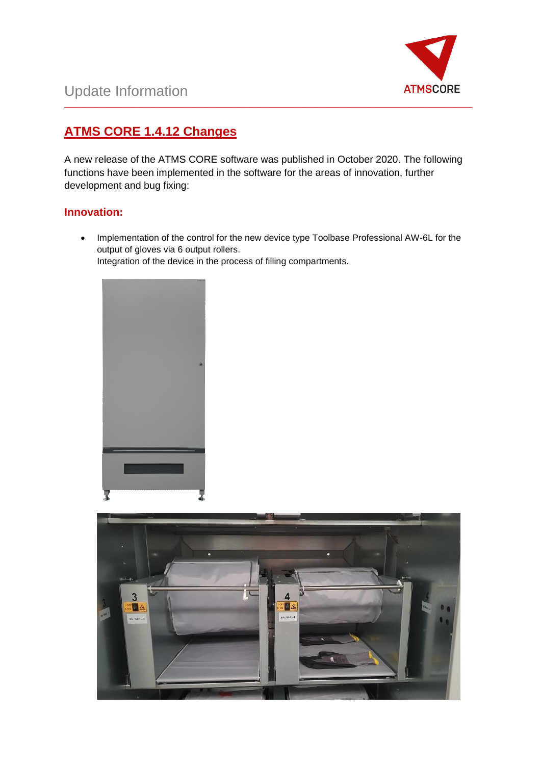

## **ATMS CORE 1.4.12 Changes**

A new release of the ATMS CORE software was published in October 2020. The following functions have been implemented in the software for the areas of innovation, further development and bug fixing:

\_\_\_\_\_\_\_\_\_\_\_\_\_\_\_\_\_\_\_\_\_\_\_\_\_\_\_\_\_\_\_\_\_\_\_\_\_\_\_\_\_\_\_\_\_\_\_\_\_\_\_\_\_\_\_\_\_\_\_\_\_\_\_\_\_\_\_\_\_\_\_\_\_\_\_\_\_\_\_\_\_\_\_\_\_\_\_\_\_\_\_\_\_\_\_\_\_\_\_\_\_

## **Innovation:**

• Implementation of the control for the new device type Toolbase Professional AW-6L for the output of gloves via 6 output rollers. Integration of the device in the process of filling compartments.



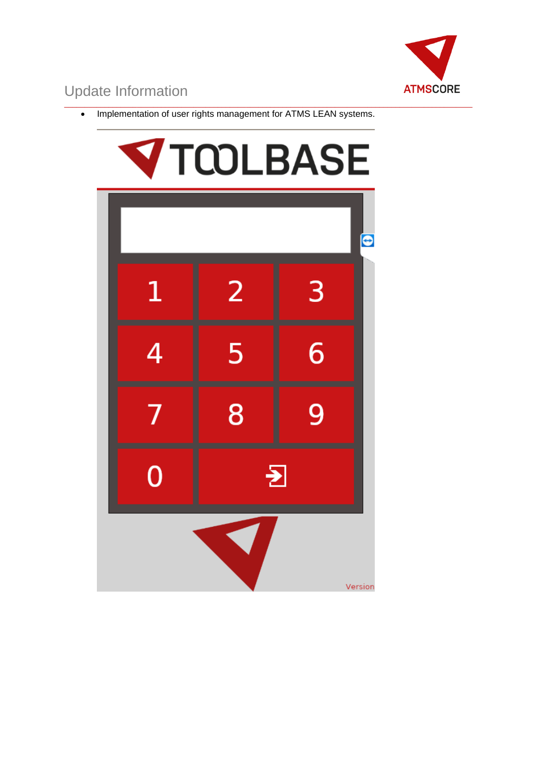

\_\_\_\_\_\_\_\_\_\_\_\_\_\_\_\_\_\_\_\_\_\_\_\_\_\_\_\_\_\_\_\_\_\_\_\_\_\_\_\_\_\_\_\_\_\_\_\_\_\_\_\_\_\_\_\_\_\_\_\_\_\_\_\_\_\_\_\_\_\_\_\_\_\_\_\_\_\_\_\_\_\_\_\_\_\_\_\_\_\_\_\_\_\_\_\_\_\_\_\_\_ • Implementation of user rights management for ATMS LEAN systems.

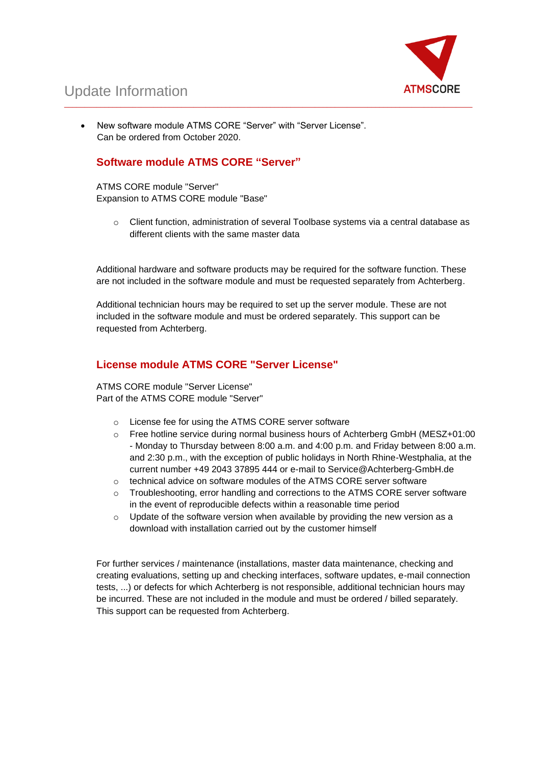

• New software module ATMS CORE "Server" with "Server License". Can be ordered from October 2020.

### **Software module ATMS CORE "Server"**

ATMS CORE module "Server" Expansion to ATMS CORE module "Base"

o Client function, administration of several Toolbase systems via a central database as different clients with the same master data

Additional hardware and software products may be required for the software function. These are not included in the software module and must be requested separately from Achterberg.

Additional technician hours may be required to set up the server module. These are not included in the software module and must be ordered separately. This support can be requested from Achterberg.

\_\_\_\_\_\_\_\_\_\_\_\_\_\_\_\_\_\_\_\_\_\_\_\_\_\_\_\_\_\_\_\_\_\_\_\_\_\_\_\_\_\_\_\_\_\_\_\_\_\_\_\_\_\_\_\_\_\_\_\_\_\_\_\_\_\_\_\_\_\_\_\_\_\_\_\_\_\_\_\_\_\_\_\_\_\_\_\_\_\_\_\_\_\_\_\_\_\_\_\_\_

### **License module ATMS CORE "Server License"**

ATMS CORE module "Server License" Part of the ATMS CORE module "Server"

- o License fee for using the ATMS CORE server software
- o Free hotline service during normal business hours of Achterberg GmbH (MESZ+01:00 - Monday to Thursday between 8:00 a.m. and 4:00 p.m. and Friday between 8:00 a.m. and 2:30 p.m., with the exception of public holidays in North Rhine-Westphalia, at the current number +49 2043 37895 444 or e-mail to Service@Achterberg-GmbH.de
- o technical advice on software modules of the ATMS CORE server software
- o Troubleshooting, error handling and corrections to the ATMS CORE server software in the event of reproducible defects within a reasonable time period
- $\circ$  Update of the software version when available by providing the new version as a download with installation carried out by the customer himself

For further services / maintenance (installations, master data maintenance, checking and creating evaluations, setting up and checking interfaces, software updates, e-mail connection tests, ...) or defects for which Achterberg is not responsible, additional technician hours may be incurred. These are not included in the module and must be ordered / billed separately. This support can be requested from Achterberg.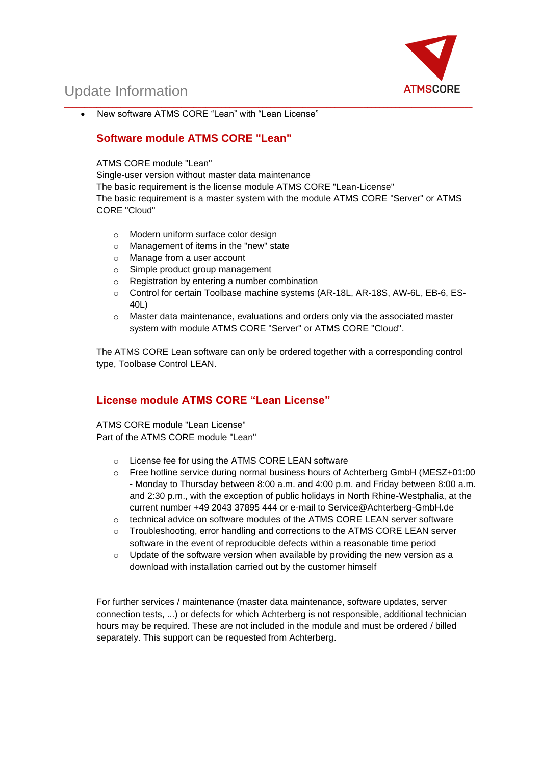

• New software ATMS CORE "Lean" with "Lean License"

## **Software module ATMS CORE "Lean"**

#### ATMS CORE module "Lean"

Single-user version without master data maintenance

The basic requirement is the license module ATMS CORE "Lean-License" The basic requirement is a master system with the module ATMS CORE "Server" or ATMS CORE "Cloud"

\_\_\_\_\_\_\_\_\_\_\_\_\_\_\_\_\_\_\_\_\_\_\_\_\_\_\_\_\_\_\_\_\_\_\_\_\_\_\_\_\_\_\_\_\_\_\_\_\_\_\_\_\_\_\_\_\_\_\_\_\_\_\_\_\_\_\_\_\_\_\_\_\_\_\_\_\_\_\_\_\_\_\_\_\_\_\_\_\_\_\_\_\_\_\_\_\_\_\_\_\_

- o Modern uniform surface color design
- o Management of items in the "new" state
- o Manage from a user account
- o Simple product group management
- o Registration by entering a number combination
- o Control for certain Toolbase machine systems (AR-18L, AR-18S, AW-6L, EB-6, ES-40L)
- $\circ$  Master data maintenance, evaluations and orders only via the associated master system with module ATMS CORE "Server" or ATMS CORE "Cloud".

The ATMS CORE Lean software can only be ordered together with a corresponding control type, Toolbase Control LEAN.

### **License module ATMS CORE "Lean License"**

ATMS CORE module "Lean License" Part of the ATMS CORE module "Lean"

- o License fee for using the ATMS CORE LEAN software
- o Free hotline service during normal business hours of Achterberg GmbH (MESZ+01:00 - Monday to Thursday between 8:00 a.m. and 4:00 p.m. and Friday between 8:00 a.m. and 2:30 p.m., with the exception of public holidays in North Rhine-Westphalia, at the current number +49 2043 37895 444 or e-mail to Service@Achterberg-GmbH.de
- o technical advice on software modules of the ATMS CORE LEAN server software
- o Troubleshooting, error handling and corrections to the ATMS CORE LEAN server software in the event of reproducible defects within a reasonable time period
- o Update of the software version when available by providing the new version as a download with installation carried out by the customer himself

For further services / maintenance (master data maintenance, software updates, server connection tests, ...) or defects for which Achterberg is not responsible, additional technician hours may be required. These are not included in the module and must be ordered / billed separately. This support can be requested from Achterberg.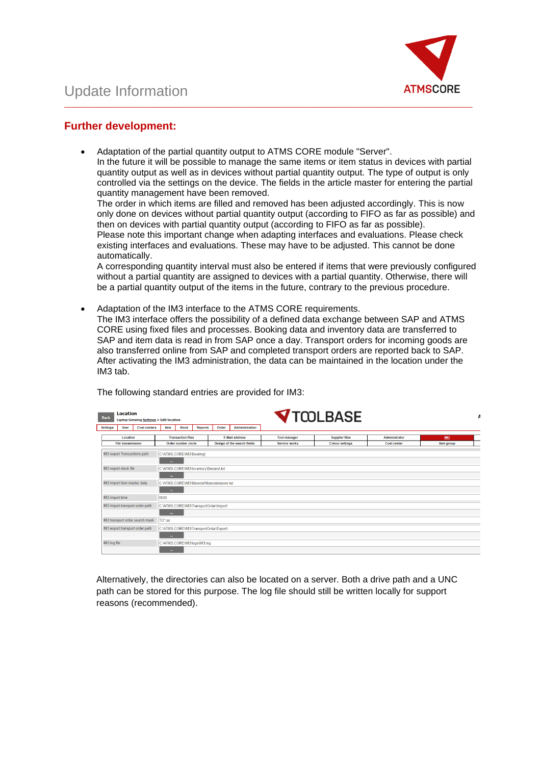

### **Further development:**

• Adaptation of the partial quantity output to ATMS CORE module "Server". In the future it will be possible to manage the same items or item status in devices with partial quantity output as well as in devices without partial quantity output. The type of output is only controlled via the settings on the device. The fields in the article master for entering the partial quantity management have been removed.

\_\_\_\_\_\_\_\_\_\_\_\_\_\_\_\_\_\_\_\_\_\_\_\_\_\_\_\_\_\_\_\_\_\_\_\_\_\_\_\_\_\_\_\_\_\_\_\_\_\_\_\_\_\_\_\_\_\_\_\_\_\_\_\_\_\_\_\_\_\_\_\_\_\_\_\_\_\_\_\_\_\_\_\_\_\_\_\_\_\_\_\_\_\_\_\_\_\_\_\_\_

The order in which items are filled and removed has been adjusted accordingly. This is now only done on devices without partial quantity output (according to FIFO as far as possible) and then on devices with partial quantity output (according to FIFO as far as possible). Please note this important change when adapting interfaces and evaluations. Please check existing interfaces and evaluations. These may have to be adjusted. This cannot be done automatically.

A corresponding quantity interval must also be entered if items that were previously configured without a partial quantity are assigned to devices with a partial quantity. Otherwise, there will be a partial quantity output of the items in the future, contrary to the previous procedure.

• Adaptation of the IM3 interface to the ATMS CORE requirements. The IM3 interface offers the possibility of a defined data exchange between SAP and ATMS CORE using fixed files and processes. Booking data and inventory data are transferred to SAP and item data is read in from SAP once a day. Transport orders for incoming goods are also transferred online from SAP and completed transport orders are reported back to SAP. After activating the IM3 administration, the data can be maintained in the location under the IM3 tab.

| Location<br><b>Back</b><br>Laptop Grewing Settings > Edit location |                                         |                                         |                                             |                             |                       |                      | <b>V</b> TCOLBASE      |                    |            | А |  |
|--------------------------------------------------------------------|-----------------------------------------|-----------------------------------------|---------------------------------------------|-----------------------------|-----------------------|----------------------|------------------------|--------------------|------------|---|--|
| <b>Settings</b><br><b>User</b><br><b>Cost centers</b>              | Item                                    | <b>Stock</b>                            | <b>Reports</b>                              | Order                       | <b>Administration</b> |                      |                        |                    |            |   |  |
| Location                                                           |                                         | <b>Transaction files</b>                |                                             |                             | <b>E-Mail address</b> | <b>Tool manager</b>  | <b>Supplier files</b>  | Administrator      | <b>IM3</b> |   |  |
| <b>File transmission</b>                                           | Order number circle                     |                                         |                                             | Design of the search fields |                       | <b>Service works</b> | <b>Colour settings</b> | <b>Cost center</b> | Item group |   |  |
| IM3 export Transactions path                                       |                                         | C:\ATMS.CORE\IM3\Booking\               |                                             |                             |                       |                      |                        |                    |            |   |  |
|                                                                    |                                         |                                         |                                             |                             |                       |                      |                        |                    |            |   |  |
| IM3 export stock file                                              |                                         |                                         | C:\ATMS.CORE\IM3\Inventory\Bestand.txt      |                             |                       |                      |                        |                    |            |   |  |
|                                                                    |                                         |                                         |                                             |                             |                       |                      |                        |                    |            |   |  |
| IM3 import item master data                                        |                                         |                                         | C:\ATMS.CORE\IM3\Material\Materialstamm.txt |                             |                       |                      |                        |                    |            |   |  |
|                                                                    |                                         |                                         |                                             |                             |                       |                      |                        |                    |            |   |  |
| IM3 import time                                                    | 0600                                    |                                         |                                             |                             |                       |                      |                        |                    |            |   |  |
| IM3 import transport order path                                    | C:\ATMS.CORE\IM3\TransportOrder\Import\ |                                         |                                             |                             |                       |                      |                        |                    |            |   |  |
|                                                                    | $\ddotsc$                               |                                         |                                             |                             |                       |                      |                        |                    |            |   |  |
| IM3 transport order search mask                                    | TO*.txt                                 |                                         |                                             |                             |                       |                      |                        |                    |            |   |  |
| IM3 export transport order path                                    |                                         | C:\ATMS.CORE\IM3\TransportOrder\Export\ |                                             |                             |                       |                      |                        |                    |            |   |  |
|                                                                    | $\cdots$                                |                                         |                                             |                             |                       |                      |                        |                    |            |   |  |
| IM3 log file                                                       |                                         |                                         | C:\ATMS.CORE\IM3\logs\IM3.log               |                             |                       |                      |                        |                    |            |   |  |
|                                                                    |                                         |                                         |                                             |                             |                       |                      |                        |                    |            |   |  |

The following standard entries are provided for IM3:

Alternatively, the directories can also be located on a server. Both a drive path and a UNC path can be stored for this purpose. The log file should still be written locally for support reasons (recommended).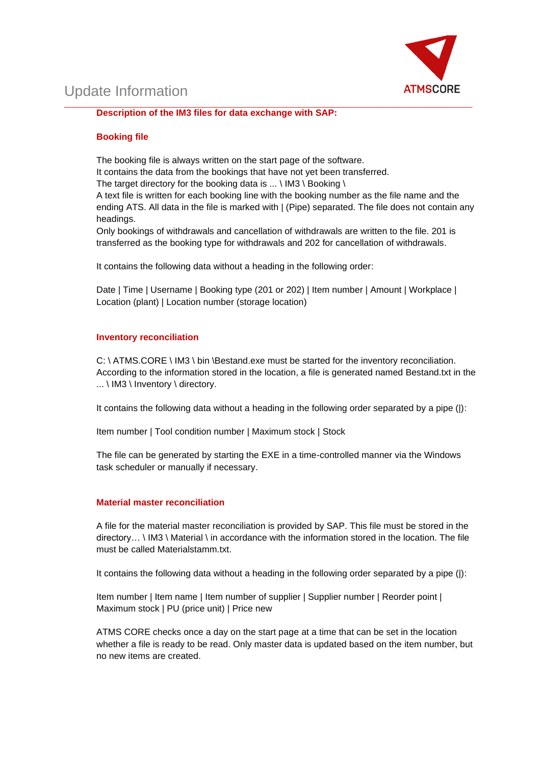

\_\_\_\_\_\_\_\_\_\_\_\_\_\_\_\_\_\_\_\_\_\_\_\_\_\_\_\_\_\_\_\_\_\_\_\_\_\_\_\_\_\_\_\_\_\_\_\_\_\_\_\_\_\_\_\_\_\_\_\_\_\_\_\_\_\_\_\_\_\_\_\_\_\_\_\_\_\_\_\_\_\_\_\_\_\_\_\_\_\_\_\_\_\_\_\_\_\_\_\_\_ **Description of the IM3 files for data exchange with SAP:**

#### **Booking file**

The booking file is always written on the start page of the software.

It contains the data from the bookings that have not yet been transferred.

The target directory for the booking data is  $\dots \setminus$  IM3  $\setminus$  Booking  $\setminus$ 

A text file is written for each booking line with the booking number as the file name and the ending ATS. All data in the file is marked with | (Pipe) separated. The file does not contain any headings.

Only bookings of withdrawals and cancellation of withdrawals are written to the file. 201 is transferred as the booking type for withdrawals and 202 for cancellation of withdrawals.

It contains the following data without a heading in the following order:

Date | Time | Username | Booking type (201 or 202) | Item number | Amount | Workplace | Location (plant) | Location number (storage location)

#### **Inventory reconciliation**

C: \ ATMS.CORE \ IM3 \ bin \Bestand.exe must be started for the inventory reconciliation. According to the information stored in the location, a file is generated named Bestand.txt in the ... \ IM3 \ Inventory \ directory.

It contains the following data without a heading in the following order separated by a pipe (|):

Item number | Tool condition number | Maximum stock | Stock

The file can be generated by starting the EXE in a time-controlled manner via the Windows task scheduler or manually if necessary.

#### **Material master reconciliation**

A file for the material master reconciliation is provided by SAP. This file must be stored in the directory… \ IM3 \ Material \ in accordance with the information stored in the location. The file must be called Materialstamm txt.

It contains the following data without a heading in the following order separated by a pipe (|):

Item number | Item name | Item number of supplier | Supplier number | Reorder point | Maximum stock | PU (price unit) | Price new

ATMS CORE checks once a day on the start page at a time that can be set in the location whether a file is ready to be read. Only master data is updated based on the item number, but no new items are created.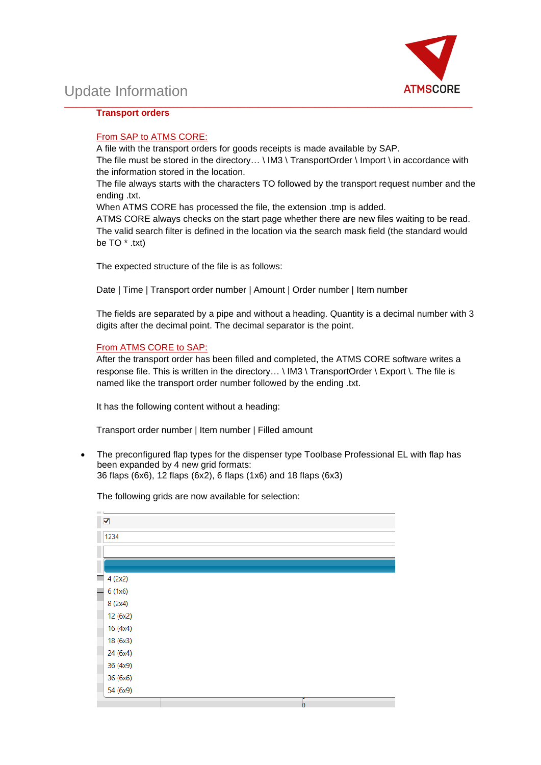

#### **Transport orders**

#### From SAP to ATMS CORE:

A file with the transport orders for goods receipts is made available by SAP. The file must be stored in the directory... \ IM3 \ TransportOrder \ Import \ in accordance with the information stored in the location.

\_\_\_\_\_\_\_\_\_\_\_\_\_\_\_\_\_\_\_\_\_\_\_\_\_\_\_\_\_\_\_\_\_\_\_\_\_\_\_\_\_\_\_\_\_\_\_\_\_\_\_\_\_\_\_\_\_\_\_\_\_\_\_\_\_\_\_\_\_\_\_\_\_\_\_\_\_\_\_\_\_\_\_\_\_\_\_\_\_\_\_\_\_\_\_\_\_\_\_\_\_

The file always starts with the characters TO followed by the transport request number and the ending .txt.

When ATMS CORE has processed the file, the extension .tmp is added.

ATMS CORE always checks on the start page whether there are new files waiting to be read. The valid search filter is defined in the location via the search mask field (the standard would be TO \* .txt)

The expected structure of the file is as follows:

Date | Time | Transport order number | Amount | Order number | Item number

The fields are separated by a pipe and without a heading. Quantity is a decimal number with 3 digits after the decimal point. The decimal separator is the point.

#### From ATMS CORE to SAP:

After the transport order has been filled and completed, the ATMS CORE software writes a response file. This is written in the directory... \ IM3 \ TransportOrder \ Export \. The file is named like the transport order number followed by the ending .txt.

It has the following content without a heading:

Transport order number | Item number | Filled amount

• The preconfigured flap types for the dispenser type Toolbase Professional EL with flap has been expanded by 4 new grid formats: 36 flaps (6x6), 12 flaps (6x2), 6 flaps (1x6) and 18 flaps (6x3)

 $\overline{\mathbf{v}}$ 1234  $4(2x2)$  $\blacksquare$ 6 (1x6)  $8(2x4)$ 12 (6x2)  $16(4x4)$ 18 (6x3) 24 (6x4) 36 (4x9) 36 (6x6) 54 (6x9)

The following grids are now available for selection: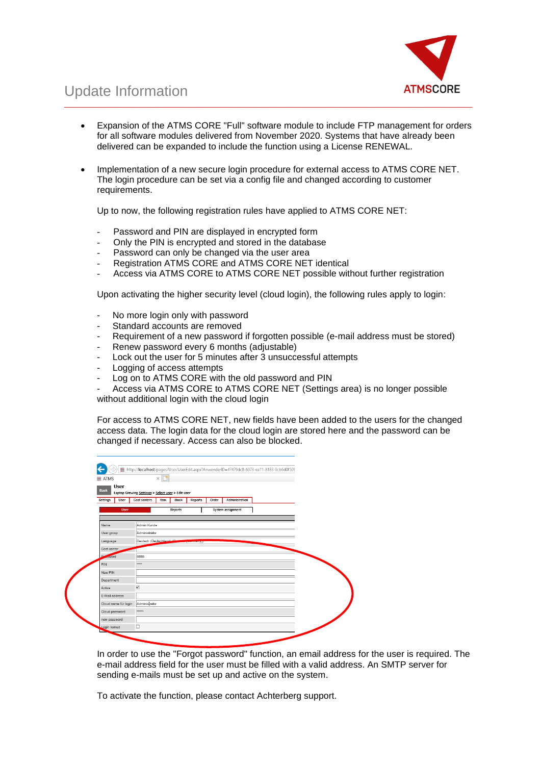

• Expansion of the ATMS CORE "Full" software module to include FTP management for orders for all software modules delivered from November 2020. Systems that have already been delivered can be expanded to include the function using a License RENEWAL.

\_\_\_\_\_\_\_\_\_\_\_\_\_\_\_\_\_\_\_\_\_\_\_\_\_\_\_\_\_\_\_\_\_\_\_\_\_\_\_\_\_\_\_\_\_\_\_\_\_\_\_\_\_\_\_\_\_\_\_\_\_\_\_\_\_\_\_\_\_\_\_\_\_\_\_\_\_\_\_\_\_\_\_\_\_\_\_\_\_\_\_\_\_\_\_\_\_\_\_\_\_

• Implementation of a new secure login procedure for external access to ATMS CORE NET. The login procedure can be set via a config file and changed according to customer requirements.

Up to now, the following registration rules have applied to ATMS CORE NET:

- Password and PIN are displayed in encrypted form
- Only the PIN is encrypted and stored in the database
- Password can only be changed via the user area
- Registration ATMS CORE and ATMS CORE NET identical
- Access via ATMS CORE to ATMS CORE NET possible without further registration

Upon activating the higher security level (cloud login), the following rules apply to login:

- No more login only with password
- Standard accounts are removed
- Requirement of a new password if forgotten possible (e-mail address must be stored)
- Renew password every 6 months (adjustable)
- Lock out the user for 5 minutes after 3 unsuccessful attempts
- Logging of access attempts
- Log on to ATMS CORE with the old password and PIN
- Access via ATMS CORE to ATMS CORE NET (Settings area) is no longer possible without additional login with the cloud login

For access to ATMS CORE NET, new fields have been added to the users for the changed access data. The login data for the cloud login are stored here and the password can be changed if necessary. Access can also be blocked.

| $\approx$ ATMS             | $\times$                                          |                |
|----------------------------|---------------------------------------------------|----------------|
| <b>User</b><br><b>Back</b> | Laptop Grewing Settings > Select user > Edit user |                |
| Settings<br>User           | Cost centers<br>Item<br>Stock<br>Reports<br>Order | Administration |
| <b>User</b>                | Reports<br>System assignment                      |                |
|                            |                                                   |                |
| Name                       | Admin Kunde                                       |                |
| User group                 | Administrator                                     |                |
| Language                   | Deutsch (Deutschland) (G<br><b>CONTROLLY AT</b>   |                |
| Cost center                |                                                   |                |
| D.<br>oword                | 8888                                              |                |
| PIN                        |                                                   |                |
| New PIN                    |                                                   |                |
| Department                 |                                                   |                |
| Active                     | $\boxtimes$                                       |                |
| E-Mail address             |                                                   |                |
| Cloud name für login       | Administrator                                     |                |
| Cloud password             |                                                   |                |
| new password               |                                                   |                |
| Login locked               | $\Box$                                            |                |

In order to use the "Forgot password" function, an email address for the user is required. The e-mail address field for the user must be filled with a valid address. An SMTP server for sending e-mails must be set up and active on the system.

To activate the function, please contact Achterberg support.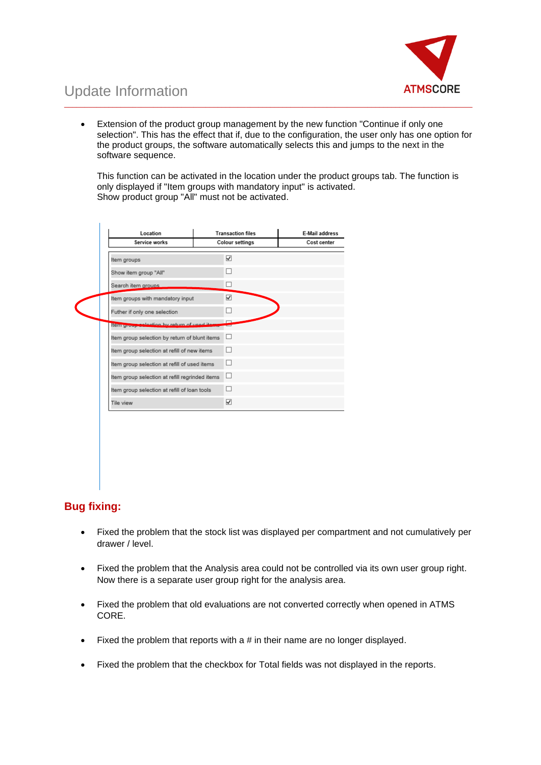

• Extension of the product group management by the new function "Continue if only one selection". This has the effect that if, due to the configuration, the user only has one option for the product groups, the software automatically selects this and jumps to the next in the software sequence.

\_\_\_\_\_\_\_\_\_\_\_\_\_\_\_\_\_\_\_\_\_\_\_\_\_\_\_\_\_\_\_\_\_\_\_\_\_\_\_\_\_\_\_\_\_\_\_\_\_\_\_\_\_\_\_\_\_\_\_\_\_\_\_\_\_\_\_\_\_\_\_\_\_\_\_\_\_\_\_\_\_\_\_\_\_\_\_\_\_\_\_\_\_\_\_\_\_\_\_\_\_

This function can be activated in the location under the product groups tab. The function is only displayed if "Item groups with mandatory input" is activated. Show product group "All" must not be activated.

| Location                                       | <b>Transaction files</b> | <b>E-Mail address</b> |  |
|------------------------------------------------|--------------------------|-----------------------|--|
| Service works                                  | <b>Colour settings</b>   | Cost center           |  |
| Item groups                                    | ☑                        |                       |  |
| Show item group "All"                          | П                        |                       |  |
| Search item groups                             | □                        |                       |  |
| Item groups with mandatory input               | ⊽                        |                       |  |
| Futher if only one selection                   | □                        |                       |  |
| tem group colonion by return of used its       | -                        |                       |  |
| Item group selection by return of blunt items  | $\Box$                   |                       |  |
| Item group selection at refill of new items    | П                        |                       |  |
| Item group selection at refill of used items   | ⊔                        |                       |  |
| Item group selection at refill regrinded items | ⊔                        |                       |  |
| Item group selection at refill of loan tools   | □                        |                       |  |
| Tile view                                      | ⊽                        |                       |  |

## **Bug fixing:**

- Fixed the problem that the stock list was displayed per compartment and not cumulatively per drawer / level.
- Fixed the problem that the Analysis area could not be controlled via its own user group right. Now there is a separate user group right for the analysis area.
- Fixed the problem that old evaluations are not converted correctly when opened in ATMS CORE.
- Fixed the problem that reports with a # in their name are no longer displayed.
- Fixed the problem that the checkbox for Total fields was not displayed in the reports.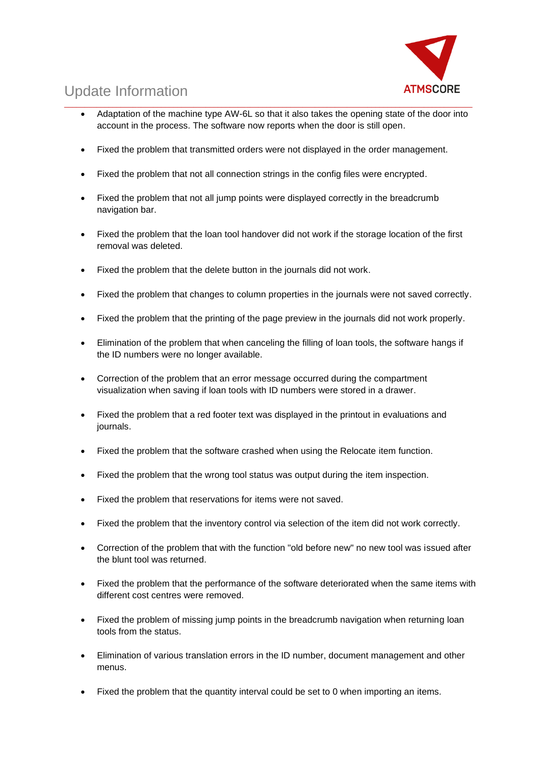

- \_\_\_\_\_\_\_\_\_\_\_\_\_\_\_\_\_\_\_\_\_\_\_\_\_\_\_\_\_\_\_\_\_\_\_\_\_\_\_\_\_\_\_\_\_\_\_\_\_\_\_\_\_\_\_\_\_\_\_\_\_\_\_\_\_\_\_\_\_\_\_\_\_\_\_\_\_\_\_\_\_\_\_\_\_\_\_\_\_\_\_\_\_\_\_\_\_\_\_\_\_ • Adaptation of the machine type AW-6L so that it also takes the opening state of the door into account in the process. The software now reports when the door is still open.
	- Fixed the problem that transmitted orders were not displayed in the order management.
	- Fixed the problem that not all connection strings in the config files were encrypted.
	- Fixed the problem that not all jump points were displayed correctly in the breadcrumb navigation bar.
	- Fixed the problem that the loan tool handover did not work if the storage location of the first removal was deleted.
	- Fixed the problem that the delete button in the journals did not work.
	- Fixed the problem that changes to column properties in the journals were not saved correctly.
	- Fixed the problem that the printing of the page preview in the journals did not work properly.
	- Elimination of the problem that when canceling the filling of loan tools, the software hangs if the ID numbers were no longer available.
	- Correction of the problem that an error message occurred during the compartment visualization when saving if loan tools with ID numbers were stored in a drawer.
	- Fixed the problem that a red footer text was displayed in the printout in evaluations and journals.
	- Fixed the problem that the software crashed when using the Relocate item function.
	- Fixed the problem that the wrong tool status was output during the item inspection.
	- Fixed the problem that reservations for items were not saved.
	- Fixed the problem that the inventory control via selection of the item did not work correctly.
	- Correction of the problem that with the function "old before new" no new tool was issued after the blunt tool was returned.
	- Fixed the problem that the performance of the software deteriorated when the same items with different cost centres were removed.
	- Fixed the problem of missing jump points in the breadcrumb navigation when returning loan tools from the status.
	- Elimination of various translation errors in the ID number, document management and other menus.
	- Fixed the problem that the quantity interval could be set to 0 when importing an items.